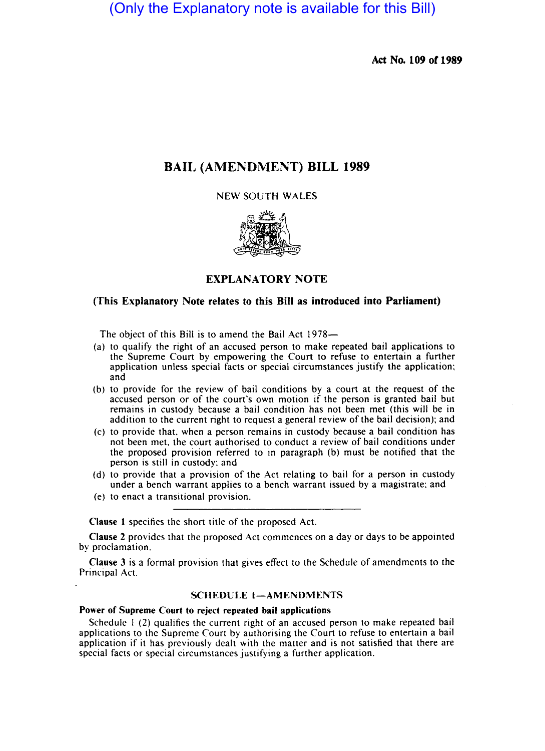(Only the Explanatory note is available for this Bill)

Act No. 109 or 1989

# BAIL (AMENDMENT) BILL 1989

NEW SOUTH WALES



## EXPLANATORY NOTE

### (This Explanatory Note relates to this Bill as introduced into Parliament)

The object of this Bill is to amend the Bail Act 1978—

- (a) to qualify the right of an accused person to make repeated bail applications to the Supreme Court by empowering the Court to refuse 10 entertain a further application unless special facts or special circumstances justify the application; and
- (b) to provide for the review of bail conditions by a court at the request of the accused person or of the court's own motion if the person is granted bail but remains in custody because a bail condition has not been met (this will be in addition to the current right to request a general review of the bail decision); and
- (c) to provide that. when a person remains in custody because a bail condition has not been met. the court authorised to conduct a review of bail conditions under the proposed provision referred to in paragraph (b) must be notified that the person is still in custody; and
- (d) to provide that a provision of the Act relating to bail for a person in custody under a bench warrant applies to a bench warrant issued by a magistrate; and
- (e) to enact a transitional provision.

Clause I specifies the short title of the proposed Act.

Clause 2 provides that the proposed Act commences on a day or days to be appointed by proclamation.

Clause 3 is a formal provision that gives effect to the Schedule of amendments to the Principal Act.

# SCHEDULE 1-AMENDMENTS

#### Power of Supreme Court to reject repeated bail applications

Schedule 1 (2) qualifies the current right of an accused person to make repeated bail applications to the Supreme Court by authorising the Court to refuse to entertain a bail application if it has previously dealt with the matter and is not satisfied that there are special facts or special circumstances justifying a further application.